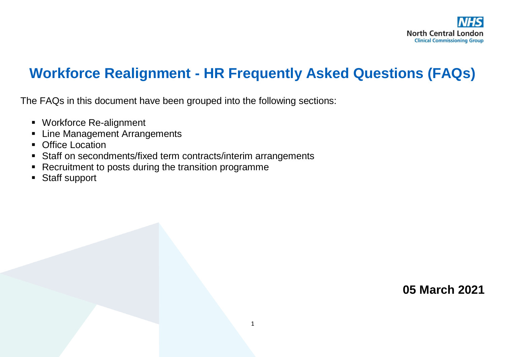

# **Workforce Realignment - HR Frequently Asked Questions (FAQs)**

The FAQs in this document have been grouped into the following sections:

- Workforce Re-alignment
- **Example Management Arrangements**
- **Office Location**
- Staff on secondments/fixed term contracts/interim arrangements
- Recruitment to posts during the transition programme
- Staff support

**05 March 2021**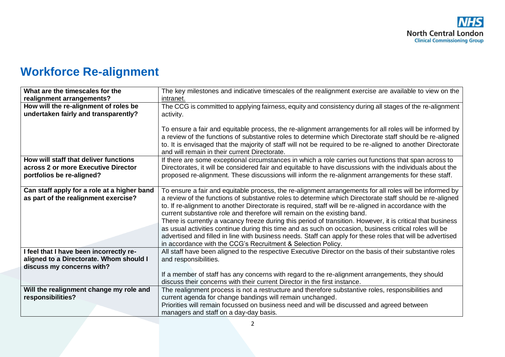# **Workforce Re-alignment**

| The key milestones and indicative timescales of the realignment exercise are available to view on the       |
|-------------------------------------------------------------------------------------------------------------|
| intranet.                                                                                                   |
| The CCG is committed to applying fairness, equity and consistency during all stages of the re-alignment     |
| activity.                                                                                                   |
|                                                                                                             |
| To ensure a fair and equitable process, the re-alignment arrangements for all roles will be informed by     |
| a review of the functions of substantive roles to determine which Directorate staff should be re-aligned    |
| to. It is envisaged that the majority of staff will not be required to be re-aligned to another Directorate |
| and will remain in their current Directorate.                                                               |
| If there are some exceptional circumstances in which a role carries out functions that span across to       |
| Directorates, it will be considered fair and equitable to have discussions with the individuals about the   |
| proposed re-alignment. These discussions will inform the re-alignment arrangements for these staff.         |
|                                                                                                             |
| To ensure a fair and equitable process, the re-alignment arrangements for all roles will be informed by     |
| a review of the functions of substantive roles to determine which Directorate staff should be re-aligned    |
| to. If re-alignment to another Directorate is required, staff will be re-aligned in accordance with the     |
| current substantive role and therefore will remain on the existing band.                                    |
| There is currently a vacancy freeze during this period of transition. However, it is critical that business |
| as usual activities continue during this time and as such on occasion, business critical roles will be      |
| advertised and filled in line with business needs. Staff can apply for these roles that will be advertised  |
| in accordance with the CCG's Recruitment & Selection Policy.                                                |
| All staff have been aligned to the respective Executive Director on the basis of their substantive roles    |
| and responsibilities.                                                                                       |
|                                                                                                             |
| If a member of staff has any concerns with regard to the re-alignment arrangements, they should             |
| discuss their concerns with their current Director in the first instance.                                   |
| The realignment process is not a restructure and therefore substantive roles, responsibilities and          |
| current agenda for change bandings will remain unchanged.                                                   |
| Priorities will remain focussed on business need and will be discussed and agreed between                   |
| managers and staff on a day-day basis.                                                                      |
|                                                                                                             |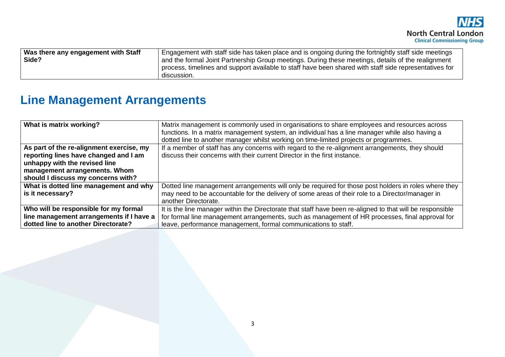| Was there any engagement with Staff | Engagement with staff side has taken place and is ongoing during the fortnightly staff side meetings   |
|-------------------------------------|--------------------------------------------------------------------------------------------------------|
| Side?                               | and the formal Joint Partnership Group meetings. During these meetings, details of the realignment     |
|                                     | process, timelines and support available to staff have been shared with staff side representatives for |
|                                     | discussion.                                                                                            |

## **Line Management Arrangements**

| What is matrix working?                  | Matrix management is commonly used in organisations to share employees and resources across<br>functions. In a matrix management system, an individual has a line manager while also having a<br>dotted line to another manager whilst working on time-limited projects or programmes. |
|------------------------------------------|----------------------------------------------------------------------------------------------------------------------------------------------------------------------------------------------------------------------------------------------------------------------------------------|
| As part of the re-alignment exercise, my | If a member of staff has any concerns with regard to the re-alignment arrangements, they should                                                                                                                                                                                        |
| reporting lines have changed and I am    | discuss their concerns with their current Director in the first instance.                                                                                                                                                                                                              |
| unhappy with the revised line            |                                                                                                                                                                                                                                                                                        |
| management arrangements. Whom            |                                                                                                                                                                                                                                                                                        |
| should I discuss my concerns with?       |                                                                                                                                                                                                                                                                                        |
| What is dotted line management and why   | Dotted line management arrangements will only be required for those post holders in roles where they                                                                                                                                                                                   |
| is it necessary?                         | may need to be accountable for the delivery of some areas of their role to a Director/manager in                                                                                                                                                                                       |
|                                          | another Directorate.                                                                                                                                                                                                                                                                   |
| Who will be responsible for my formal    | It is the line manager within the Directorate that staff have been re-aligned to that will be responsible                                                                                                                                                                              |
| line management arrangements if I have a | for formal line management arrangements, such as management of HR processes, final approval for                                                                                                                                                                                        |
| dotted line to another Directorate?      | leave, performance management, formal communications to staff.                                                                                                                                                                                                                         |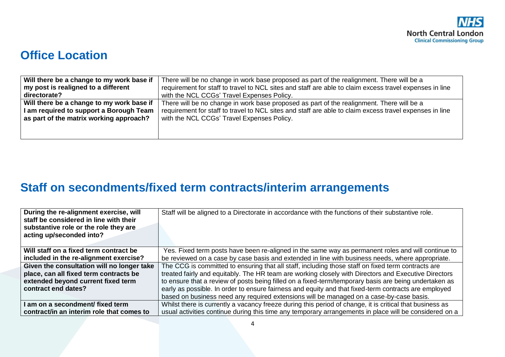#### **Office Location**

| Will there be a change to my work base if | There will be no change in work base proposed as part of the realignment. There will be a               |
|-------------------------------------------|---------------------------------------------------------------------------------------------------------|
| my post is realigned to a different       | requirement for staff to travel to NCL sites and staff are able to claim excess travel expenses in line |
| directorate?                              | with the NCL CCGs' Travel Expenses Policy.                                                              |
| Will there be a change to my work base if | There will be no change in work base proposed as part of the realignment. There will be a               |
| I am required to support a Borough Team   | requirement for staff to travel to NCL sites and staff are able to claim excess travel expenses in line |
| as part of the matrix working approach?   | with the NCL CCGs' Travel Expenses Policy.                                                              |

## **Staff on secondments/fixed term contracts/interim arrangements**

| During the re-alignment exercise, will<br>staff be considered in line with their<br>substantive role or the role they are<br>acting up/seconded into? | Staff will be aligned to a Directorate in accordance with the functions of their substantive role.       |
|-------------------------------------------------------------------------------------------------------------------------------------------------------|----------------------------------------------------------------------------------------------------------|
| Will staff on a fixed term contract be                                                                                                                | Yes. Fixed term posts have been re-aligned in the same way as permanent roles and will continue to       |
| included in the re-alignment exercise?                                                                                                                | be reviewed on a case by case basis and extended in line with business needs, where appropriate.         |
| Given the consultation will no longer take                                                                                                            | The CCG is committed to ensuring that all staff, including those staff on fixed term contracts are       |
| place, can all fixed term contracts be                                                                                                                | treated fairly and equitably. The HR team are working closely with Directors and Executive Directors     |
| extended beyond current fixed term                                                                                                                    | to ensure that a review of posts being filled on a fixed-term/temporary basis are being undertaken as    |
| contract end dates?                                                                                                                                   | early as possible. In order to ensure fairness and equity and that fixed-term contracts are employed     |
|                                                                                                                                                       | based on business need any required extensions will be managed on a case-by-case basis.                  |
| I am on a secondment/ fixed term                                                                                                                      | Whilst there is currently a vacancy freeze during this period of change, it is critical that business as |
| contract/in an interim role that comes to                                                                                                             | usual activities continue during this time any temporary arrangements in place will be considered on a   |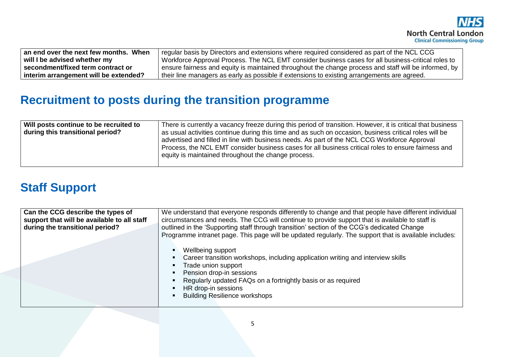| When<br>an end over the next few months. | regular basis by Directors and extensions where required considered as part of the NCL CCG            |
|------------------------------------------|-------------------------------------------------------------------------------------------------------|
| will I be advised whether my             | Workforce Approval Process. The NCL EMT consider business cases for all business-critical roles to    |
| secondment/fixed term contract or        | ensure fairness and equity is maintained throughout the change process and staff will be informed, by |
| interim arrangement will be extended?    | their line managers as early as possible if extensions to existing arrangements are agreed.           |

#### **Recruitment to posts during the transition programme**

| Will posts continue to be recruited to<br>during this transitional period? | There is currently a vacancy freeze during this period of transition. However, it is critical that business<br>as usual activities continue during this time and as such on occasion, business critical roles will be<br>advertised and filled in line with business needs. As part of the NCL CCG Workforce Approval<br>Process, the NCL EMT consider business cases for all business critical roles to ensure fairness and<br>equity is maintained throughout the change process. |
|----------------------------------------------------------------------------|-------------------------------------------------------------------------------------------------------------------------------------------------------------------------------------------------------------------------------------------------------------------------------------------------------------------------------------------------------------------------------------------------------------------------------------------------------------------------------------|
|----------------------------------------------------------------------------|-------------------------------------------------------------------------------------------------------------------------------------------------------------------------------------------------------------------------------------------------------------------------------------------------------------------------------------------------------------------------------------------------------------------------------------------------------------------------------------|

#### **Staff Support**

| Can the CCG describe the types of<br>support that will be available to all staff<br>during the transitional period? | We understand that everyone responds differently to change and that people have different individual<br>circumstances and needs. The CCG will continue to provide support that is available to staff is<br>outlined in the 'Supporting staff through transition' section of the CCG's dedicated Change<br>Programme intranet page. This page will be updated regularly. The support that is available includes: |
|---------------------------------------------------------------------------------------------------------------------|-----------------------------------------------------------------------------------------------------------------------------------------------------------------------------------------------------------------------------------------------------------------------------------------------------------------------------------------------------------------------------------------------------------------|
|                                                                                                                     | Wellbeing support<br>Career transition workshops, including application writing and interview skills<br>Trade union support<br>Pension drop-in sessions<br>Regularly updated FAQs on a fortnightly basis or as required<br>HR drop-in sessions<br><b>Building Resilience workshops</b>                                                                                                                          |